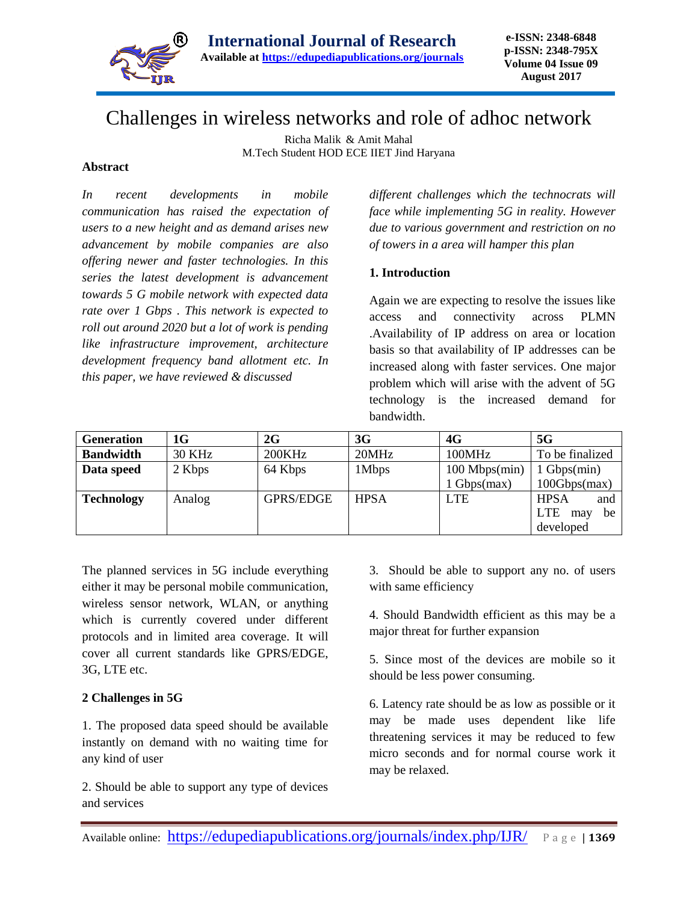

**e-ISSN: 2348-6848 p-ISSN: 2348-795X Volume 04 Issue 09 August 2017**

# Challenges in wireless networks and role of adhoc network

Richa Malik & Amit Mahal M.Tech Student HOD ECE IIET Jind Haryana

#### **Abstract**

*In recent developments in mobile communication has raised the expectation of users to a new height and as demand arises new advancement by mobile companies are also offering newer and faster technologies. In this series the latest development is advancement towards 5 G mobile network with expected data rate over 1 Gbps . This network is expected to roll out around 2020 but a lot of work is pending like infrastructure improvement, architecture development frequency band allotment etc. In this paper, we have reviewed & discussed* 

*different challenges which the technocrats will face while implementing 5G in reality. However due to various government and restriction on no of towers in a area will hamper this plan* 

#### **1. Introduction**

Again we are expecting to resolve the issues like access and connectivity across PLMN .Availability of IP address on area or location basis so that availability of IP addresses can be increased along with faster services. One major problem which will arise with the advent of 5G technology is the increased demand for bandwidth.

| <b>Generation</b> | 1G            | 2G               | 3G          | 4G                   | 5G                      |
|-------------------|---------------|------------------|-------------|----------------------|-------------------------|
| <b>Bandwidth</b>  | <b>30 KHz</b> | 200KHz           | 20MHz       | 100MHz               | To be finalized         |
| Data speed        | 2 Kbps        | 64 Kbps          | 1Mbps       | $100$ Mbps $(min)$   | $1 \text{ Gbps}(min)$   |
|                   |               |                  |             | $1 \text{Gbps(max)}$ | 100Gbps(max)            |
| <b>Technology</b> | Analog        | <b>GPRS/EDGE</b> | <b>HPSA</b> | <b>LTE</b>           | <b>HPSA</b><br>and      |
|                   |               |                  |             |                      | <b>LTE</b><br>be<br>may |
|                   |               |                  |             |                      | developed               |

The planned services in 5G include everything either it may be personal mobile communication, wireless sensor network, WLAN, or anything which is currently covered under different protocols and in limited area coverage. It will cover all current standards like GPRS/EDGE, 3G, LTE etc.

#### **2 Challenges in 5G**

1. The proposed data speed should be available instantly on demand with no waiting time for any kind of user

2. Should be able to support any type of devices and services

3. Should be able to support any no. of users with same efficiency

4. Should Bandwidth efficient as this may be a major threat for further expansion

5. Since most of the devices are mobile so it should be less power consuming.

6. Latency rate should be as low as possible or it may be made uses dependent like life threatening services it may be reduced to few micro seconds and for normal course work it may be relaxed.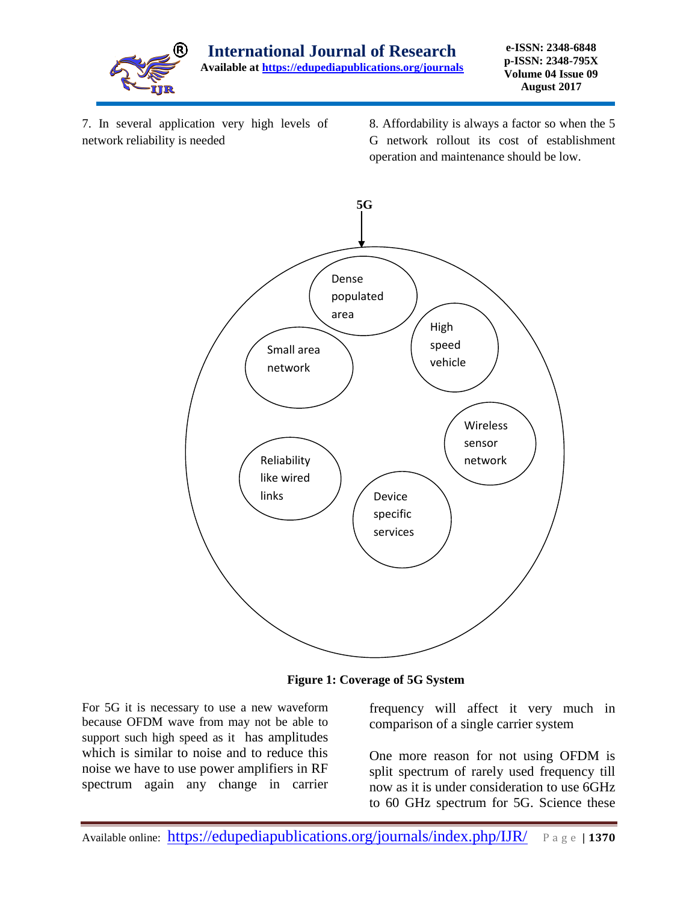

7. In several application very high levels of network reliability is needed

8. Affordability is always a factor so when the 5 G network rollout its cost of establishment operation and maintenance should be low.



**Figure 1: Coverage of 5G System**

For 5G it is necessary to use a new waveform because OFDM wave from may not be able to support such high speed as it has amplitudes which is similar to noise and to reduce this noise we have to use power amplifiers in RF spectrum again any change in carrier

frequency will affect it very much in comparison of a single carrier system

One more reason for not using OFDM is split spectrum of rarely used frequency till now as it is under consideration to use 6GHz to 60 GHz spectrum for 5G. Science these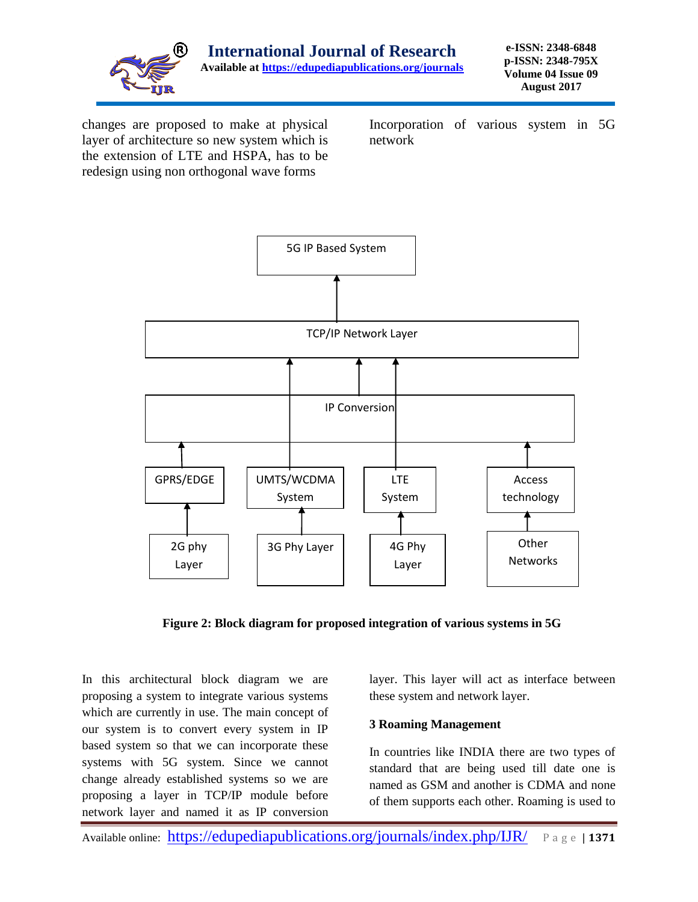

changes are proposed to make at physical layer of architecture so new system which is the extension of LTE and HSPA, has to be redesign using non orthogonal wave forms

Incorporation of various system in 5G network



**Figure 2: Block diagram for proposed integration of various systems in 5G** 

In this architectural block diagram we are proposing a system to integrate various systems which are currently in use. The main concept of our system is to convert every system in IP based system so that we can incorporate these systems with 5G system. Since we cannot change already established systems so we are proposing a layer in TCP/IP module before network layer and named it as IP conversion

layer. This layer will act as interface between these system and network layer.

## **3 Roaming Management**

In countries like INDIA there are two types of standard that are being used till date one is named as GSM and another is CDMA and none of them supports each other. Roaming is used to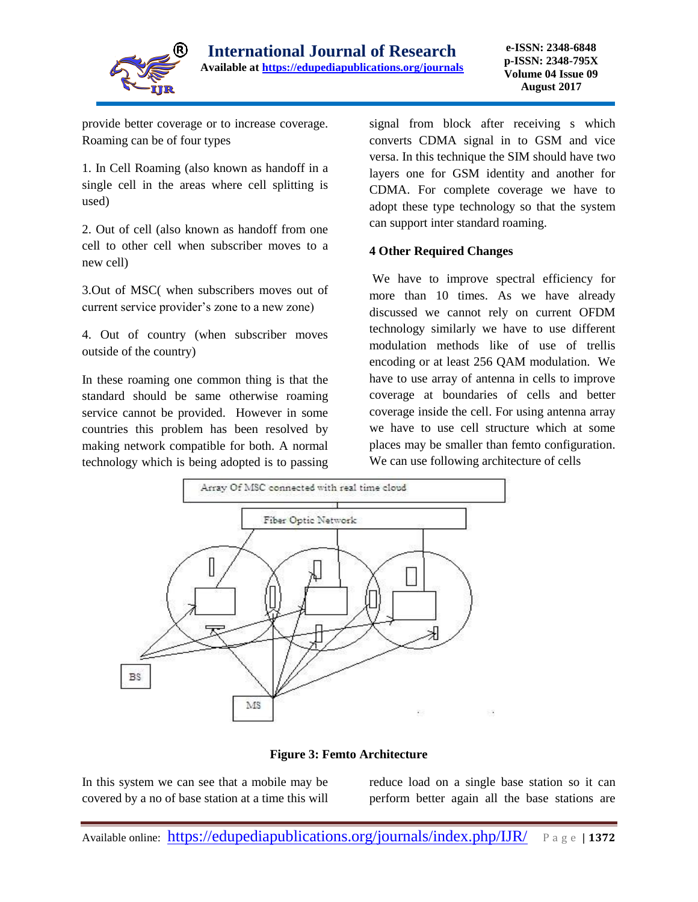

provide better coverage or to increase coverage. Roaming can be of four types

1. In Cell Roaming (also known as handoff in a single cell in the areas where cell splitting is used)

2. Out of cell (also known as handoff from one cell to other cell when subscriber moves to a new cell)

3.Out of MSC( when subscribers moves out of current service provider's zone to a new zone)

4. Out of country (when subscriber moves outside of the country)

In these roaming one common thing is that the standard should be same otherwise roaming service cannot be provided. However in some countries this problem has been resolved by making network compatible for both. A normal technology which is being adopted is to passing

signal from block after receiving s which converts CDMA signal in to GSM and vice versa. In this technique the SIM should have two layers one for GSM identity and another for CDMA. For complete coverage we have to adopt these type technology so that the system can support inter standard roaming.

## **4 Other Required Changes**

We have to improve spectral efficiency for more than 10 times. As we have already discussed we cannot rely on current OFDM technology similarly we have to use different modulation methods like of use of trellis encoding or at least 256 QAM modulation. We have to use array of antenna in cells to improve coverage at boundaries of cells and better coverage inside the cell. For using antenna array we have to use cell structure which at some places may be smaller than femto configuration. We can use following architecture of cells



**Figure 3: Femto Architecture**

In this system we can see that a mobile may be covered by a no of base station at a time this will reduce load on a single base station so it can perform better again all the base stations are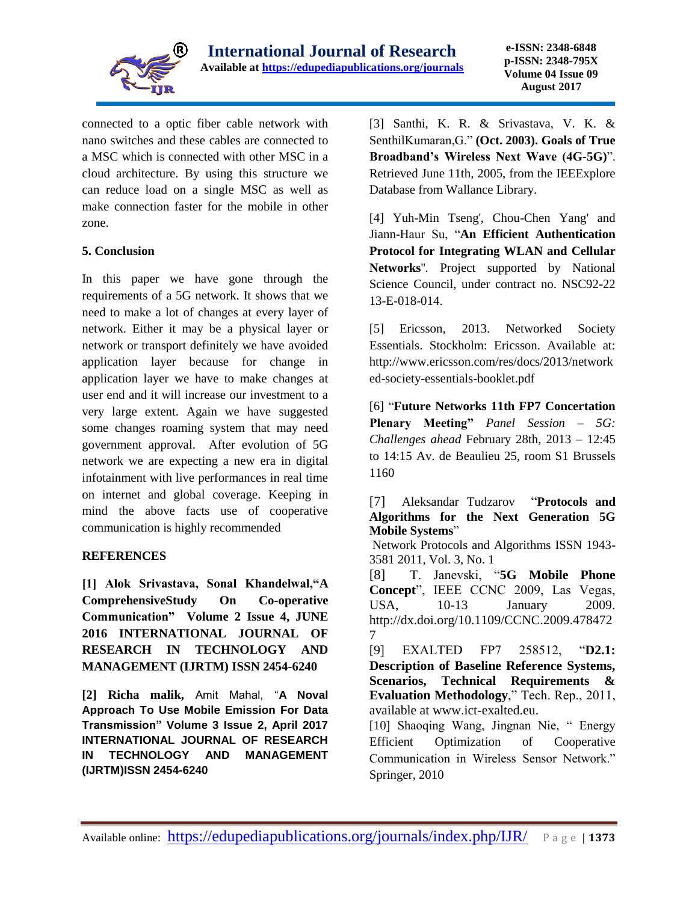

connected to a optic fiber cable network with nano switches and these cables are connected to a MSC which is connected with other MSC in a cloud architecture. By using this structure we can reduce load on a single MSC as well as make connection faster for the mobile in other zone.

## **5. Conclusion**

In this paper we have gone through the requirements of a 5G network. It shows that we need to make a lot of changes at every layer of network. Either it may be a physical layer or network or transport definitely we have avoided application layer because for change in application layer we have to make changes at user end and it will increase our investment to a very large extent. Again we have suggested some changes roaming system that may need government approval. After evolution of 5G network we are expecting a new era in digital infotainment with live performances in real time on internet and global coverage. Keeping in mind the above facts use of cooperative communication is highly recommended

#### **REFERENCES**

**[1] Alok Srivastava, Sonal Khandelwal,"A ComprehensiveStudy On Co-operative Communication" Volume 2 Issue 4, JUNE 2016 INTERNATIONAL JOURNAL OF RESEARCH IN TECHNOLOGY AND MANAGEMENT (IJRTM) ISSN 2454-6240**

**[2] Richa malik,** Amit Mahal, "**A Noval Approach To Use Mobile Emission For Data Transmission" Volume 3 Issue 2, April 2017 INTERNATIONAL JOURNAL OF RESEARCH IN TECHNOLOGY AND MANAGEMENT (IJRTM)ISSN 2454-6240**

[3] Santhi, K. R. & Srivastava, V. K. & SenthilKumaran,G." **(Oct. 2003). Goals of True Broadband's Wireless Next Wave (4G-5G)**". Retrieved June 11th, 2005, from the IEEExplore Database from Wallance Library.

[4] Yuh-Min Tseng', Chou-Chen Yang' and Jiann-Haur Su, "**An Efficient Authentication Protocol for Integrating WLAN and Cellular Networks**''. Project supported by National Science Council, under contract no. NSC92-22 13-E-018-014.

[5] Ericsson, 2013. Networked Society Essentials. Stockholm: Ericsson. Available at: http://www.ericsson.com/res/docs/2013/network ed-society-essentials-booklet.pdf

[6] "**Future Networks 11th FP7 Concertation Plenary Meeting"** *Panel Session – 5G: Challenges ahead* February 28th, 2013 – 12:45 to 14:15 Av. de Beaulieu 25, room S1 Brussels 1160

[7] Aleksandar Tudzarov "**Protocols and Algorithms for the Next Generation 5G Mobile Systems**"

Network Protocols and Algorithms ISSN 1943- 3581 2011, Vol. 3, No. 1

[8] T. Janevski, "**5G Mobile Phone Concept**", IEEE CCNC 2009, Las Vegas, USA, 10-13 January 2009. http://dx.doi.org/10.1109/CCNC.2009.478472 7

[9] EXALTED FP7 258512, "**D2.1: Description of Baseline Reference Systems, Scenarios, Technical Requirements & Evaluation Methodology**," Tech. Rep., 2011, available at www.ict-exalted.eu.

[10] Shaoqing Wang, Jingnan Nie, " Energy Efficient Optimization of Cooperative Communication in Wireless Sensor Network." Springer, 2010